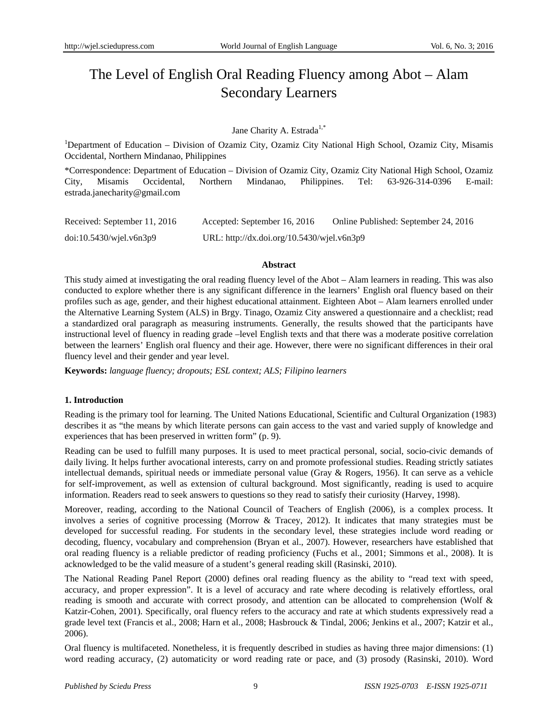# The Level of English Oral Reading Fluency among Abot – Alam Secondary Learners

# Jane Charity A. Estrada<sup>1,\*</sup>

<sup>1</sup>Department of Education - Division of Ozamiz City, Ozamiz City National High School, Ozamiz City, Misamis Occidental, Northern Mindanao, Philippines

\*Correspondence: Department of Education – Division of Ozamiz City, Ozamiz City National High School, Ozamiz City, Misamis Occidental, Northern Mindanao, Philippines. Tel: 63-926-314-0396 E-mail: estrada.janecharity@gmail.com

| Received: September 11, 2016 | Accepted: September 16, 2016               | Online Published: September 24, 2016 |
|------------------------------|--------------------------------------------|--------------------------------------|
| $doi:10.5430/w$ jel.v6n3p9   | URL: http://dx.doi.org/10.5430/wjel.v6n3p9 |                                      |

#### **Abstract**

This study aimed at investigating the oral reading fluency level of the Abot – Alam learners in reading. This was also conducted to explore whether there is any significant difference in the learners' English oral fluency based on their profiles such as age, gender, and their highest educational attainment. Eighteen Abot – Alam learners enrolled under the Alternative Learning System (ALS) in Brgy. Tinago, Ozamiz City answered a questionnaire and a checklist; read a standardized oral paragraph as measuring instruments. Generally, the results showed that the participants have instructional level of fluency in reading grade –level English texts and that there was a moderate positive correlation between the learners' English oral fluency and their age. However, there were no significant differences in their oral fluency level and their gender and year level.

**Keywords:** *language fluency; dropouts; ESL context; ALS; Filipino learners*

# **1. Introduction**

Reading is the primary tool for learning. The United Nations Educational, Scientific and Cultural Organization (1983) describes it as "the means by which literate persons can gain access to the vast and varied supply of knowledge and experiences that has been preserved in written form" (p. 9).

Reading can be used to fulfill many purposes. It is used to meet practical personal, social, socio-civic demands of daily living. It helps further avocational interests, carry on and promote professional studies. Reading strictly satiates intellectual demands, spiritual needs or immediate personal value (Gray & Rogers, 1956). It can serve as a vehicle for self-improvement, as well as extension of cultural background. Most significantly, reading is used to acquire information. Readers read to seek answers to questions so they read to satisfy their curiosity (Harvey, 1998).

Moreover, reading, according to the National Council of Teachers of English (2006), is a complex process. It involves a series of cognitive processing (Morrow & Tracey, 2012). It indicates that many strategies must be developed for successful reading. For students in the secondary level, these strategies include word reading or decoding, fluency, vocabulary and comprehension (Bryan et al., 2007). However, researchers have established that oral reading fluency is a reliable predictor of reading proficiency (Fuchs et al., 2001; Simmons et al., 2008). It is acknowledged to be the valid measure of a student's general reading skill (Rasinski, 2010).

The National Reading Panel Report (2000) defines oral reading fluency as the ability to "read text with speed, accuracy, and proper expression". It is a level of accuracy and rate where decoding is relatively effortless, oral reading is smooth and accurate with correct prosody, and attention can be allocated to comprehension (Wolf & Katzir-Cohen, 2001). Specifically, oral fluency refers to the accuracy and rate at which students expressively read a grade level text (Francis et al., 2008; Harn et al., 2008; Hasbrouck & Tindal, 2006; Jenkins et al., 2007; Katzir et al., 2006).

Oral fluency is multifaceted. Nonetheless, it is frequently described in studies as having three major dimensions: (1) word reading accuracy, (2) automaticity or word reading rate or pace, and (3) prosody (Rasinski, 2010). Word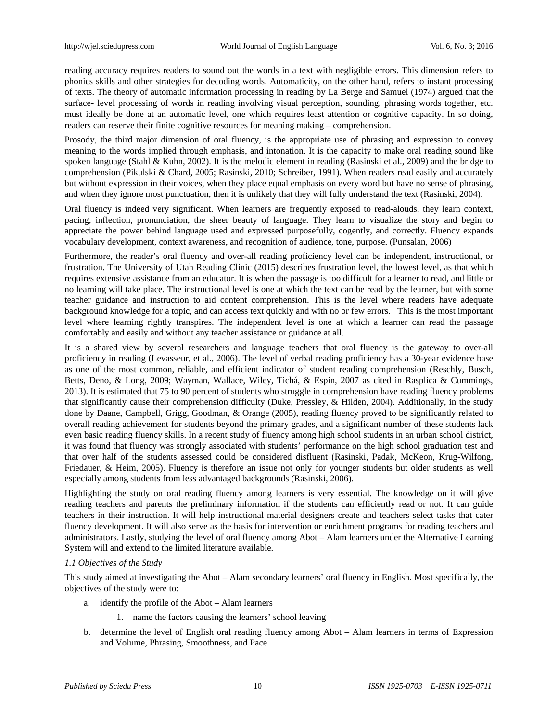reading accuracy requires readers to sound out the words in a text with negligible errors. This dimension refers to phonics skills and other strategies for decoding words. Automaticity, on the other hand, refers to instant processing of texts. The theory of automatic information processing in reading by La Berge and Samuel (1974) argued that the surface- level processing of words in reading involving visual perception, sounding, phrasing words together, etc. must ideally be done at an automatic level, one which requires least attention or cognitive capacity. In so doing, readers can reserve their finite cognitive resources for meaning making – comprehension.

Prosody, the third major dimension of oral fluency, is the appropriate use of phrasing and expression to convey meaning to the words implied through emphasis, and intonation. It is the capacity to make oral reading sound like spoken language (Stahl & Kuhn, 2002). It is the melodic element in reading (Rasinski et al., 2009) and the bridge to comprehension (Pikulski & Chard, 2005; Rasinski, 2010; Schreiber, 1991). When readers read easily and accurately but without expression in their voices, when they place equal emphasis on every word but have no sense of phrasing, and when they ignore most punctuation, then it is unlikely that they will fully understand the text (Rasinski, 2004).

Oral fluency is indeed very significant. When learners are frequently exposed to read-alouds, they learn context, pacing, inflection, pronunciation, the sheer beauty of language. They learn to visualize the story and begin to appreciate the power behind language used and expressed purposefully, cogently, and correctly. Fluency expands vocabulary development, context awareness, and recognition of audience, tone, purpose. (Punsalan, 2006)

Furthermore, the reader's oral fluency and over-all reading proficiency level can be independent, instructional, or frustration. The University of Utah Reading Clinic (2015) describes frustration level, the lowest level, as that which requires extensive assistance from an educator. It is when the passage is too difficult for a learner to read, and little or no learning will take place. The instructional level is one at which the text can be read by the learner, but with some teacher guidance and instruction to aid content comprehension. This is the level where readers have adequate background knowledge for a topic, and can access text quickly and with no or few errors. This is the most important level where learning rightly transpires. The independent level is one at which a learner can read the passage comfortably and easily and without any teacher assistance or guidance at all.

It is a shared view by several researchers and language teachers that oral fluency is the gateway to over-all proficiency in reading (Levasseur, et al., 2006). The level of verbal reading proficiency has a 30-year evidence base as one of the most common, reliable, and efficient indicator of student reading comprehension (Reschly, Busch, Betts, Deno, & Long, 2009; Wayman, Wallace, Wiley, Tichá, & Espin, 2007 as cited in Rasplica & Cummings, 2013). It is estimated that 75 to 90 percent of students who struggle in comprehension have reading fluency problems that significantly cause their comprehension difficulty (Duke, Pressley, & Hilden, 2004). Additionally, in the study done by Daane, Campbell, Grigg, Goodman, & Orange (2005), reading fluency proved to be significantly related to overall reading achievement for students beyond the primary grades, and a significant number of these students lack even basic reading fluency skills. In a recent study of fluency among high school students in an urban school district, it was found that fluency was strongly associated with students' performance on the high school graduation test and that over half of the students assessed could be considered disfluent (Rasinski, Padak, McKeon, Krug-Wilfong, Friedauer, & Heim, 2005). Fluency is therefore an issue not only for younger students but older students as well especially among students from less advantaged backgrounds (Rasinski, 2006).

Highlighting the study on oral reading fluency among learners is very essential. The knowledge on it will give reading teachers and parents the preliminary information if the students can efficiently read or not. It can guide teachers in their instruction. It will help instructional material designers create and teachers select tasks that cater fluency development. It will also serve as the basis for intervention or enrichment programs for reading teachers and administrators. Lastly, studying the level of oral fluency among Abot – Alam learners under the Alternative Learning System will and extend to the limited literature available.

#### *1.1 Objectives of the Study*

This study aimed at investigating the Abot – Alam secondary learners' oral fluency in English. Most specifically, the objectives of the study were to:

- a. identify the profile of the Abot Alam learners
	- 1. name the factors causing the learners' school leaving
- b. determine the level of English oral reading fluency among Abot Alam learners in terms of Expression and Volume, Phrasing, Smoothness, and Pace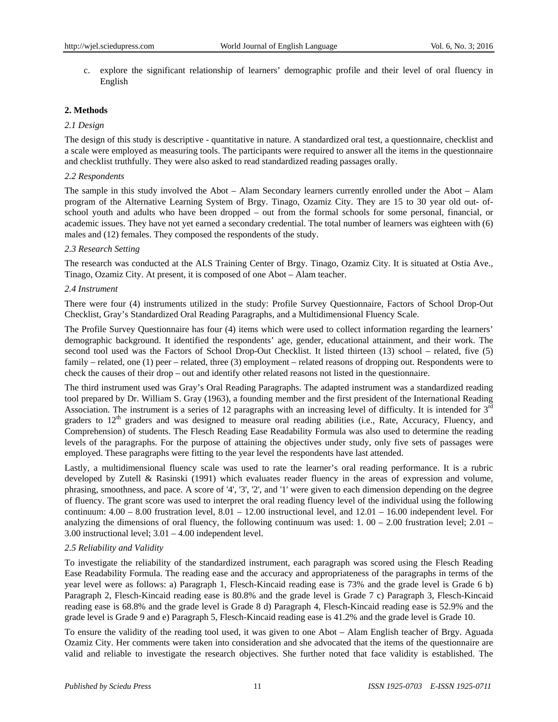c. explore the significant relationship of learners' demographic profile and their level of oral fluency in English

# **2. Methods**

## *2.1 Design*

The design of this study is descriptive - quantitative in nature. A standardized oral test, a questionnaire, checklist and a scale were employed as measuring tools. The participants were required to answer all the items in the questionnaire and checklist truthfully. They were also asked to read standardized reading passages orally.

## *2.2 Respondents*

The sample in this study involved the Abot – Alam Secondary learners currently enrolled under the Abot – Alam program of the Alternative Learning System of Brgy. Tinago, Ozamiz City. They are 15 to 30 year old out- ofschool youth and adults who have been dropped – out from the formal schools for some personal, financial, or academic issues. They have not yet earned a secondary credential. The total number of learners was eighteen with (6) males and (12) females. They composed the respondents of the study.

## *2.3 Research Setting*

The research was conducted at the ALS Training Center of Brgy. Tinago, Ozamiz City. It is situated at Ostia Ave., Tinago, Ozamiz City. At present, it is composed of one Abot – Alam teacher.

## *2.4 Instrument*

There were four (4) instruments utilized in the study: Profile Survey Questionnaire, Factors of School Drop-Out Checklist, Gray's Standardized Oral Reading Paragraphs, and a Multidimensional Fluency Scale.

The Profile Survey Questionnaire has four (4) items which were used to collect information regarding the learners' demographic background. It identified the respondents' age, gender, educational attainment, and their work. The second tool used was the Factors of School Drop-Out Checklist. It listed thirteen (13) school – related, five (5) family – related, one (1) peer – related, three (3) employment – related reasons of dropping out. Respondents were to check the causes of their drop – out and identify other related reasons not listed in the questionnaire.

The third instrument used was Gray's Oral Reading Paragraphs. The adapted instrument was a standardized reading tool prepared by Dr. William S. Gray (1963), a founding member and the first president of the International Reading Association. The instrument is a series of 12 paragraphs with an increasing level of difficulty. It is intended for  $3<sup>rd</sup>$ graders to 12<sup>th</sup> graders and was designed to measure oral reading abilities (i.e., Rate, Accuracy, Fluency, and Comprehension) of students. The Flesch Reading Ease Readability Formula was also used to determine the reading levels of the paragraphs. For the purpose of attaining the objectives under study, only five sets of passages were employed. These paragraphs were fitting to the year level the respondents have last attended.

Lastly, a multidimensional fluency scale was used to rate the learner's oral reading performance. It is a rubric developed by Zutell & Rasinski (1991) which evaluates reader fluency in the areas of expression and volume, phrasing, smoothness, and pace. A score of '4', '3', '2', and '1' were given to each dimension depending on the degree of fluency. The grant score was used to interpret the oral reading fluency level of the individual using the following continuum: 4.00 – 8.00 frustration level, 8.01 – 12.00 instructional level, and 12.01 – 16.00 independent level. For analyzing the dimensions of oral fluency, the following continuum was used: 1.  $00 - 2.00$  frustration level;  $2.01 -$ 3.00 instructional level; 3.01 – 4.00 independent level.

#### *2.5 Reliability and Validity*

To investigate the reliability of the standardized instrument, each paragraph was scored using the Flesch Reading Ease Readability Formula. The reading ease and the accuracy and appropriateness of the paragraphs in terms of the year level were as follows: a) Paragraph 1, Flesch-Kincaid reading ease is 73% and the grade level is Grade 6 b) Paragraph 2, Flesch-Kincaid reading ease is 80.8% and the grade level is Grade 7 c) Paragraph 3, Flesch-Kincaid reading ease is 68.8% and the grade level is Grade 8 d) Paragraph 4, Flesch-Kincaid reading ease is 52.9% and the grade level is Grade 9 and e) Paragraph 5, Flesch-Kincaid reading ease is 41.2% and the grade level is Grade 10.

To ensure the validity of the reading tool used, it was given to one Abot – Alam English teacher of Brgy. Aguada Ozamiz City. Her comments were taken into consideration and she advocated that the items of the questionnaire are valid and reliable to investigate the research objectives. She further noted that face validity is established. The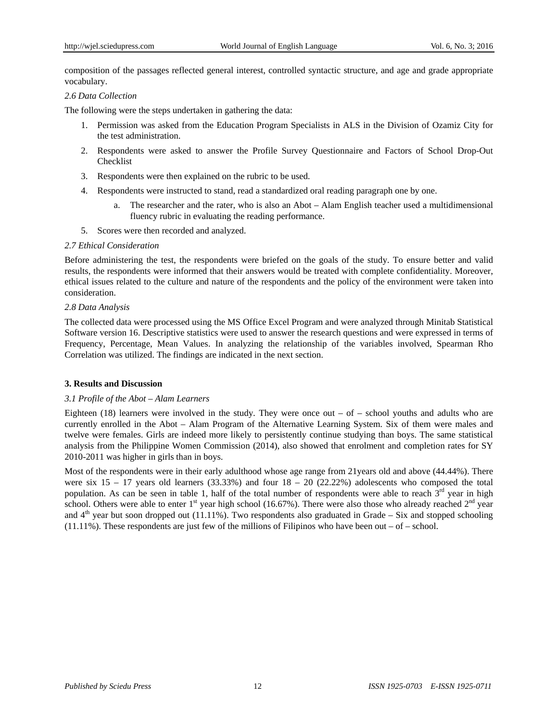composition of the passages reflected general interest, controlled syntactic structure, and age and grade appropriate vocabulary.

# *2.6 Data Collection*

The following were the steps undertaken in gathering the data:

- 1. Permission was asked from the Education Program Specialists in ALS in the Division of Ozamiz City for the test administration.
- 2. Respondents were asked to answer the Profile Survey Questionnaire and Factors of School Drop-Out Checklist
- 3. Respondents were then explained on the rubric to be used.
- 4. Respondents were instructed to stand, read a standardized oral reading paragraph one by one.
	- a. The researcher and the rater, who is also an Abot Alam English teacher used a multidimensional fluency rubric in evaluating the reading performance.
- 5. Scores were then recorded and analyzed.

## *2.7 Ethical Consideration*

Before administering the test, the respondents were briefed on the goals of the study. To ensure better and valid results, the respondents were informed that their answers would be treated with complete confidentiality. Moreover, ethical issues related to the culture and nature of the respondents and the policy of the environment were taken into consideration.

## *2.8 Data Analysis*

The collected data were processed using the MS Office Excel Program and were analyzed through Minitab Statistical Software version 16. Descriptive statistics were used to answer the research questions and were expressed in terms of Frequency, Percentage, Mean Values. In analyzing the relationship of the variables involved, Spearman Rho Correlation was utilized. The findings are indicated in the next section.

# **3. Results and Discussion**

# *3.1 Profile of the Abot – Alam Learners*

Eighteen (18) learners were involved in the study. They were once out  $-$  of  $-$  school youths and adults who are currently enrolled in the Abot – Alam Program of the Alternative Learning System. Six of them were males and twelve were females. Girls are indeed more likely to persistently continue studying than boys. The same statistical analysis from the Philippine Women Commission (2014), also showed that enrolment and completion rates for SY 2010-2011 was higher in girls than in boys.

Most of the respondents were in their early adulthood whose age range from 21years old and above (44.44%). There were six  $15 - 17$  years old learners (33.33%) and four  $18 - 20$  (22.22%) adolescents who composed the total population. As can be seen in table 1, half of the total number of respondents were able to reach  $3<sup>rd</sup>$  year in high school. Others were able to enter  $1<sup>st</sup>$  year high school (16.67%). There were also those who already reached  $2<sup>nd</sup>$  year and  $4<sup>th</sup>$  year but soon dropped out (11.11%). Two respondents also graduated in Grade – Six and stopped schooling  $(11.11\%)$ . These respondents are just few of the millions of Filipinos who have been out – of – school.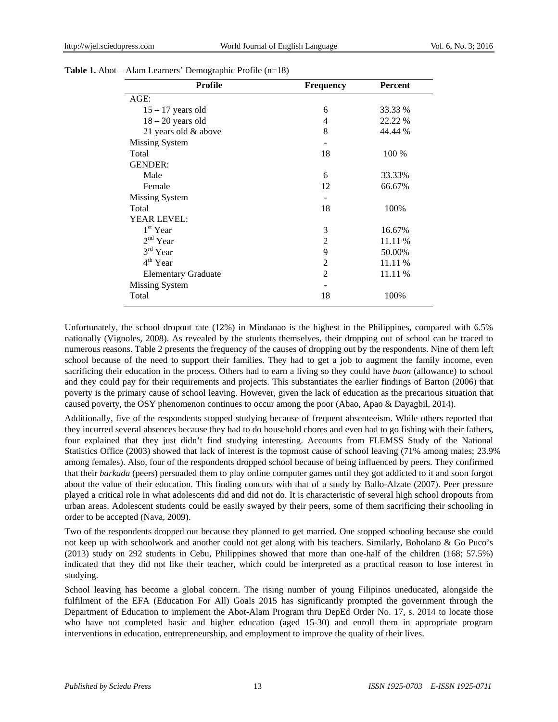| <b>Profile</b>             | <b>Frequency</b> | Percent |
|----------------------------|------------------|---------|
| $AGE$ :                    |                  |         |
| $15 - 17$ years old        | 6                | 33.33 % |
| $18 - 20$ years old        | 4                | 22.22 % |
| 21 years old & above       | 8                | 44.44 % |
| Missing System             |                  |         |
| Total                      | 18               | 100 %   |
| <b>GENDER:</b>             |                  |         |
| Male                       | 6                | 33.33%  |
| Female                     | 12               | 66.67%  |
| <b>Missing System</b>      |                  |         |
| Total                      | 18               | 100%    |
| <b>YEAR LEVEL:</b>         |                  |         |
| $1st$ Year                 | 3                | 16.67%  |
| $2nd$ Year                 | 2                | 11.11 % |
| 3 <sup>rd</sup> Year       | 9                | 50.00%  |
| $4th$ Year                 | 2                | 11.11 % |
| <b>Elementary Graduate</b> | $\overline{2}$   | 11.11 % |
| <b>Missing System</b>      |                  |         |
| Total                      | 18               | 100%    |

Unfortunately, the school dropout rate (12%) in Mindanao is the highest in the Philippines, compared with 6.5% nationally (Vignoles, 2008). As revealed by the students themselves, their dropping out of school can be traced to numerous reasons. Table 2 presents the frequency of the causes of dropping out by the respondents. Nine of them left school because of the need to support their families. They had to get a job to augment the family income, even sacrificing their education in the process. Others had to earn a living so they could have *baon* (allowance) to school and they could pay for their requirements and projects. This substantiates the earlier findings of Barton (2006) that poverty is the primary cause of school leaving. However, given the lack of education as the precarious situation that caused poverty, the OSY phenomenon continues to occur among the poor (Abao, Apao & Dayagbil, 2014).

Additionally, five of the respondents stopped studying because of frequent absenteeism. While others reported that they incurred several absences because they had to do household chores and even had to go fishing with their fathers, four explained that they just didn't find studying interesting. Accounts from FLEMSS Study of the National Statistics Office (2003) showed that lack of interest is the topmost cause of school leaving (71% among males; 23.9% among females). Also, four of the respondents dropped school because of being influenced by peers. They confirmed that their *barkada* (peers) persuaded them to play online computer games until they got addicted to it and soon forgot about the value of their education. This finding concurs with that of a study by Ballo-Alzate (2007). Peer pressure played a critical role in what adolescents did and did not do. It is characteristic of several high school dropouts from urban areas. Adolescent students could be easily swayed by their peers, some of them sacrificing their schooling in order to be accepted (Nava, 2009).

Two of the respondents dropped out because they planned to get married. One stopped schooling because she could not keep up with schoolwork and another could not get along with his teachers. Similarly, Boholano & Go Puco's (2013) study on 292 students in Cebu, Philippines showed that more than one-half of the children (168; 57.5%) indicated that they did not like their teacher, which could be interpreted as a practical reason to lose interest in studying.

School leaving has become a global concern. The rising number of young Filipinos uneducated, alongside the fulfilment of the EFA (Education For All) Goals 2015 has significantly prompted the government through the Department of Education to implement the Abot-Alam Program thru DepEd Order No. 17, s. 2014 to locate those who have not completed basic and higher education (aged 15-30) and enroll them in appropriate program interventions in education, entrepreneurship, and employment to improve the quality of their lives.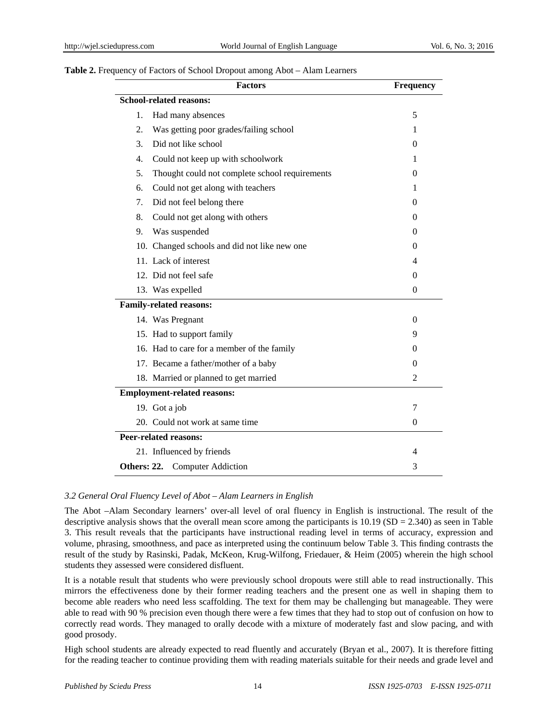## **Table 2.** Frequency of Factors of School Dropout among Abot – Alam Learners

| <b>Factors</b>                                        | <b>Frequency</b> |
|-------------------------------------------------------|------------------|
| <b>School-related reasons:</b>                        |                  |
| 1.<br>Had many absences                               | 5                |
| 2.<br>Was getting poor grades/failing school          | 1                |
| Did not like school<br>3.                             | 0                |
| Could not keep up with schoolwork<br>$\overline{4}$ . | 1                |
| 5.<br>Thought could not complete school requirements  | 0                |
| 6.<br>Could not get along with teachers               | 1                |
| 7.<br>Did not feel belong there                       | $\theta$         |
| 8.<br>Could not get along with others                 | 0                |
| Was suspended<br>9.                                   | 0                |
| 10. Changed schools and did not like new one          | 0                |
| 11. Lack of interest                                  | 4                |
| 12. Did not feel safe                                 | 0                |
| 13. Was expelled                                      | $\boldsymbol{0}$ |
| <b>Family-related reasons:</b>                        |                  |
| 14. Was Pregnant                                      | $\theta$         |
| 15. Had to support family                             | 9                |
| 16. Had to care for a member of the family            | 0                |
| 17. Became a father/mother of a baby                  | 0                |
| 18. Married or planned to get married                 | $\overline{2}$   |
| <b>Employment-related reasons:</b>                    |                  |
| 19. Got a job                                         | 7                |
| 20. Could not work at same time                       | $\overline{0}$   |
| <b>Peer-related reasons:</b>                          |                  |
| 21. Influenced by friends                             | 4                |
| <b>Others: 22.</b> Computer Addiction                 | 3                |

# *3.2 General Oral Fluency Level of Abot – Alam Learners in English*

The Abot –Alam Secondary learners' over-all level of oral fluency in English is instructional. The result of the descriptive analysis shows that the overall mean score among the participants is  $10.19$  (SD = 2.340) as seen in Table 3. This result reveals that the participants have instructional reading level in terms of accuracy, expression and volume, phrasing, smoothness, and pace as interpreted using the continuum below Table 3. This finding contrasts the result of the study by Rasinski, Padak, McKeon, Krug-Wilfong, Friedauer, & Heim (2005) wherein the high school students they assessed were considered disfluent.

It is a notable result that students who were previously school dropouts were still able to read instructionally. This mirrors the effectiveness done by their former reading teachers and the present one as well in shaping them to become able readers who need less scaffolding. The text for them may be challenging but manageable. They were able to read with 90 % precision even though there were a few times that they had to stop out of confusion on how to correctly read words. They managed to orally decode with a mixture of moderately fast and slow pacing, and with good prosody.

High school students are already expected to read fluently and accurately (Bryan et al., 2007). It is therefore fitting for the reading teacher to continue providing them with reading materials suitable for their needs and grade level and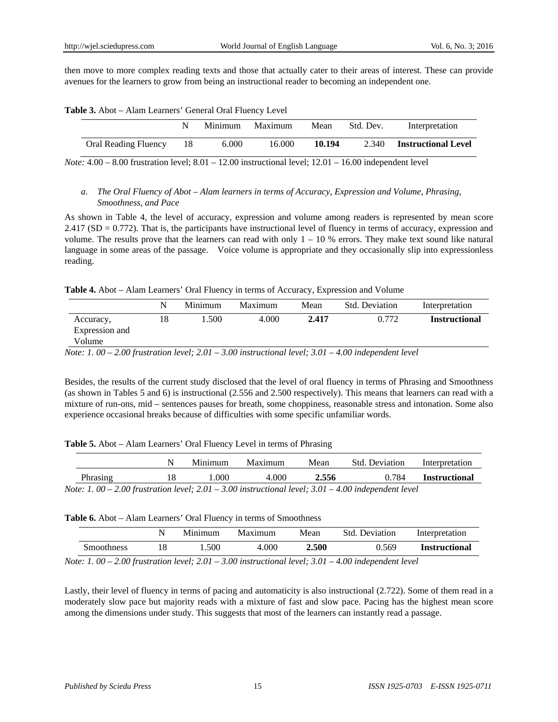then move to more complex reading texts and those that actually cater to their areas of interest. These can provide avenues for the learners to grow from being an instructional reader to becoming an independent one.

| Table 3. Abot - Alam Learners' General Oral Fluency Level |  |
|-----------------------------------------------------------|--|
|-----------------------------------------------------------|--|

|                      | Minimum | Maximum | Mean   | Std. Dev. | Interpretation             |
|----------------------|---------|---------|--------|-----------|----------------------------|
| Oral Reading Fluency | 6.000   | 16.000  | 10.194 | 2.340     | <b>Instructional Level</b> |

*Note:* 4.00 – 8.00 frustration level; 8.01 – 12.00 instructional level; 12.01 – 16.00 independent level

# *a. The Oral Fluency of Abot – Alam learners in terms of Accuracy, Expression and Volume, Phrasing, Smoothness, and Pace*

As shown in Table 4, the level of accuracy, expression and volume among readers is represented by mean score  $2.417$  (SD = 0.772). That is, the participants have instructional level of fluency in terms of accuracy, expression and volume. The results prove that the learners can read with only  $1 - 10$  % errors. They make text sound like natural language in some areas of the passage. Voice volume is appropriate and they occasionally slip into expressionless reading.

#### **Table 4.** Abot – Alam Learners' Oral Fluency in terms of Accuracy, Expression and Volume

|                                       |    | Minimum | Maximum | Mean  | Std. Deviation | Interpretation       |
|---------------------------------------|----|---------|---------|-------|----------------|----------------------|
| Accuracy,<br>Expression and<br>Volume | 18 | .500    | 4.000   | 2.417 | 0.772          | <b>Instructional</b> |

*Note: 1. 00 – 2.00 frustration level; 2.01 – 3.00 instructional level; 3.01 – 4.00 independent level* 

Besides, the results of the current study disclosed that the level of oral fluency in terms of Phrasing and Smoothness (as shown in Tables 5 and 6) is instructional (2.556 and 2.500 respectively). This means that learners can read with a mixture of run-ons, mid – sentences pauses for breath, some choppiness, reasonable stress and intonation. Some also experience occasional breaks because of difficulties with some specific unfamiliar words.

#### **Table 5.** Abot – Alam Learners' Oral Fluency Level in terms of Phrasing

|          | Minimum | Maximum | Mean  | <b>Std.</b> Deviation                                                                                        | Interpretation       |
|----------|---------|---------|-------|--------------------------------------------------------------------------------------------------------------|----------------------|
| Phrasing | .000    | 4.000   | 2.556 | 0.784                                                                                                        | <b>Instructional</b> |
|          |         |         |       | $Nots: 1, 00, 2, 00$ frustration $level: 2, 01, 3, 00$ instructional level: $3, 01, 4, 00$ independent level |                      |

*Note: 1. 00 – 2.00 frustration level; 2.01 – 3.00 instructional level; 3.01 – 4.00 independent level* 

#### **Table 6.** Abot – Alam Learners' Oral Fluency in terms of Smoothness

|            | Minimum | Maximum                                  | Mean  | Std. Deviation |       | Interpretation       |
|------------|---------|------------------------------------------|-------|----------------|-------|----------------------|
| Smoothness | .500    | 4.000                                    | 2.500 |                | 0.569 | <b>Instructional</b> |
|            |         | N 100 000 ° ' 1001 000' ' 11 1001 100' 1 |       |                |       |                      |

*Note: 1. 00 – 2.00 frustration level; 2.01 – 3.00 instructional level; 3.01 – 4.00 independent level* 

Lastly, their level of fluency in terms of pacing and automaticity is also instructional (2.722). Some of them read in a moderately slow pace but majority reads with a mixture of fast and slow pace. Pacing has the highest mean score among the dimensions under study. This suggests that most of the learners can instantly read a passage.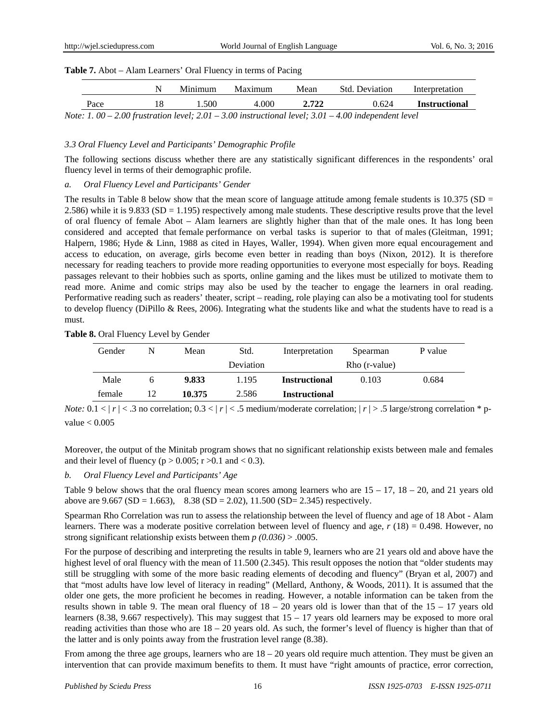|  | Table 7. Abot - Alam Learners' Oral Fluency in terms of Pacing |
|--|----------------------------------------------------------------|
|  |                                                                |

|      | Minimum | Maximum | Mean  | <b>Std.</b> Deviation                                                                                | Interpretation       |
|------|---------|---------|-------|------------------------------------------------------------------------------------------------------|----------------------|
| Pace | 1.500.  | 4.000   | 2.722 | 0.624                                                                                                | <b>Instructional</b> |
|      |         |         |       | Note: 1, 00 – 2,00 frustration level; 2,01 – 3,00 instructional level; 3,01 – 4,00 independent level |                      |

#### *3.3 Oral Fluency Level and Participants' Demographic Profile*

The following sections discuss whether there are any statistically significant differences in the respondents' oral fluency level in terms of their demographic profile.

#### *a. Oral Fluency Level and Participants' Gender*

The results in Table 8 below show that the mean score of language attitude among female students is  $10.375$  (SD = 2.586) while it is 9.833 (SD = 1.195) respectively among male students. These descriptive results prove that the level of oral fluency of female Abot – Alam learners are slightly higher than that of the male ones. It has long been considered and accepted that female performance on verbal tasks is superior to that of males (Gleitman, 1991; Halpern, 1986; Hyde & Linn, 1988 as cited in Hayes, Waller, 1994). When given more equal encouragement and access to education, on average, girls become even better in reading than boys (Nixon, 2012). It is therefore necessary for reading teachers to provide more reading opportunities to everyone most especially for boys. Reading passages relevant to their hobbies such as sports, online gaming and the likes must be utilized to motivate them to read more. Anime and comic strips may also be used by the teacher to engage the learners in oral reading. Performative reading such as readers' theater, script – reading, role playing can also be a motivating tool for students to develop fluency (DiPillo & Rees, 2006). Integrating what the students like and what the students have to read is a must.

#### **Table 8.** Oral Fluency Level by Gender

| Gender | N | Mean   | Std.      | Interpretation       | Spearman      | P value |
|--------|---|--------|-----------|----------------------|---------------|---------|
|        |   |        | Deviation |                      | Rho (r-value) |         |
| Male   |   | 9.833  | 1.195     | <b>Instructional</b> | 0.103         | 0.684   |
| female |   | 10.375 | 2.586     | <b>Instructional</b> |               |         |

*Note:*  $0.1 < |r| < .3$  no correlation;  $0.3 < |r| < .5$  medium/moderate correlation;  $|r| > .5$  large/strong correlation \* pvalue  $< 0.005$ 

Moreover, the output of the Minitab program shows that no significant relationship exists between male and females and their level of fluency ( $p > 0.005$ ;  $r > 0.1$  and  $< 0.3$ ).

#### *b. Oral Fluency Level and Participants' Age*

Table 9 below shows that the oral fluency mean scores among learners who are  $15 - 17$ ,  $18 - 20$ , and 21 years old above are 9.667 (SD = 1.663), 8.38 (SD = 2.02), 11.500 (SD = 2.345) respectively.

Spearman Rho Correlation was run to assess the relationship between the level of fluency and age of 18 Abot - Alam learners. There was a moderate positive correlation between level of fluency and age, *r* (18) = 0.498. However, no strong significant relationship exists between them *p (0.036)* > .0005.

For the purpose of describing and interpreting the results in table 9, learners who are 21 years old and above have the highest level of oral fluency with the mean of 11.500 (2.345). This result opposes the notion that "older students may still be struggling with some of the more basic reading elements of decoding and fluency" (Bryan et al, 2007) and that "most adults have low level of literacy in reading" (Mellard, Anthony, & Woods, 2011). It is assumed that the older one gets, the more proficient he becomes in reading. However, a notable information can be taken from the results shown in table 9. The mean oral fluency of  $18 - 20$  years old is lower than that of the  $15 - 17$  years old learners (8.38, 9.667 respectively). This may suggest that 15 – 17 years old learners may be exposed to more oral reading activities than those who are  $18 - 20$  years old. As such, the former's level of fluency is higher than that of the latter and is only points away from the frustration level range (8.38).

From among the three age groups, learners who are  $18 - 20$  years old require much attention. They must be given an intervention that can provide maximum benefits to them. It must have "right amounts of practice, error correction,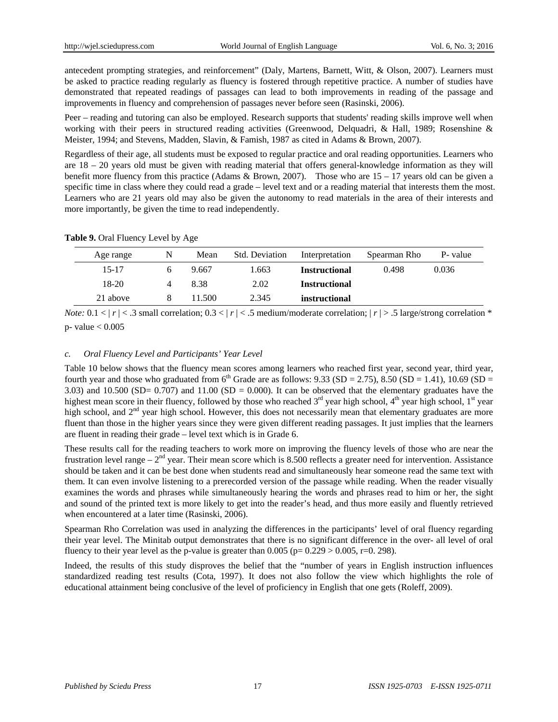antecedent prompting strategies, and reinforcement" (Daly, Martens, Barnett, Witt, & Olson, 2007). Learners must be asked to practice reading regularly as fluency is fostered through repetitive practice. A number of studies have demonstrated that repeated readings of passages can lead to both improvements in reading of the passage and improvements in fluency and comprehension of passages never before seen (Rasinski, 2006).

Peer – reading and tutoring can also be employed. Research supports that students' reading skills improve well when working with their peers in structured reading activities (Greenwood, Delquadri, & Hall, 1989; Rosenshine & Meister, 1994; and Stevens, Madden, Slavin, & Famish, 1987 as cited in Adams & Brown, 2007).

Regardless of their age, all students must be exposed to regular practice and oral reading opportunities. Learners who are 18 – 20 years old must be given with reading material that offers general-knowledge information as they will benefit more fluency from this practice (Adams & Brown, 2007). Those who are  $15 - 17$  years old can be given a specific time in class where they could read a grade – level text and or a reading material that interests them the most. Learners who are 21 years old may also be given the autonomy to read materials in the area of their interests and more importantly, be given the time to read independently.

#### **Table 9.** Oral Fluency Level by Age

| Age range | N | Mean   | <b>Std. Deviation</b> | Interpretation       | Spearman Rho | P- value |
|-----------|---|--------|-----------------------|----------------------|--------------|----------|
| $15 - 17$ |   | 9.667  | 1.663                 | <b>Instructional</b> | 0.498        | 0.036    |
| $18-20$   |   | 8.38   | 2.02                  | <b>Instructional</b> |              |          |
| 21 above  |   | 11.500 | 2.345                 | instructional        |              |          |

*Note:*  $0.1 < |r| < .3$  small correlation;  $0.3 < |r| < .5$  medium/moderate correlation;  $|r| > .5$  large/strong correlation  $*$ p- value < 0.005

#### *c. Oral Fluency Level and Participants' Year Level*

Table 10 below shows that the fluency mean scores among learners who reached first year, second year, third year, fourth year and those who graduated from  $6<sup>th</sup>$  Grade are as follows: 9.33 (SD = 2.75), 8.50 (SD = 1.41), 10.69 (SD = 3.03) and 10.500 (SD= 0.707) and 11.00 (SD = 0.000). It can be observed that the elementary graduates have the highest mean score in their fluency, followed by those who reached  $3<sup>rd</sup>$  year high school,  $4<sup>th</sup>$  year high school,  $1<sup>st</sup>$  year high school, and  $2<sup>nd</sup>$  year high school. However, this does not necessarily mean that elementary graduates are more fluent than those in the higher years since they were given different reading passages. It just implies that the learners are fluent in reading their grade – level text which is in Grade 6.

These results call for the reading teachers to work more on improving the fluency levels of those who are near the frustration level range –  $2<sup>nd</sup>$  year. Their mean score which is 8.500 reflects a greater need for intervention. Assistance should be taken and it can be best done when students read and simultaneously hear someone read the same text with them. It can even involve listening to a prerecorded version of the passage while reading. When the reader visually examines the words and phrases while simultaneously hearing the words and phrases read to him or her, the sight and sound of the printed text is more likely to get into the reader's head, and thus more easily and fluently retrieved when encountered at a later time (Rasinski, 2006).

Spearman Rho Correlation was used in analyzing the differences in the participants' level of oral fluency regarding their year level. The Minitab output demonstrates that there is no significant difference in the over- all level of oral fluency to their year level as the p-value is greater than  $0.005$  (p=  $0.229 > 0.005$ , r=0. 298).

Indeed, the results of this study disproves the belief that the "number of years in English instruction influences standardized reading test results (Cota, 1997). It does not also follow the view which highlights the role of educational attainment being conclusive of the level of proficiency in English that one gets (Roleff, 2009).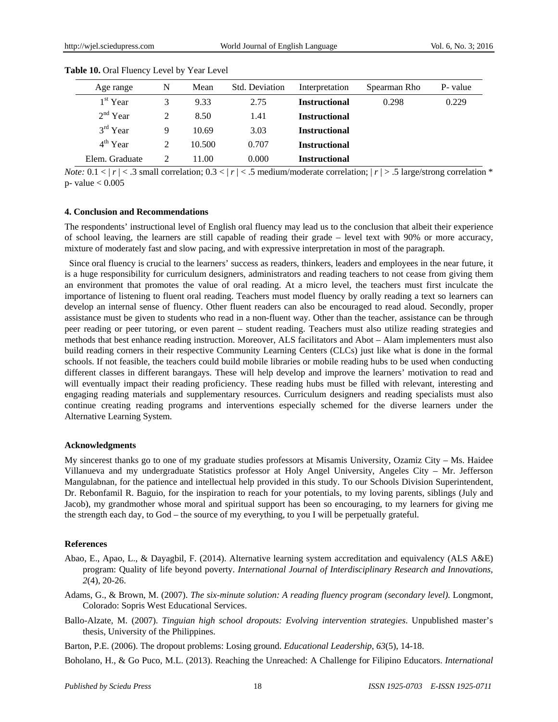| Age range      | N | Mean   | Std. Deviation | Interpretation       | Spearman Rho | P- value |
|----------------|---|--------|----------------|----------------------|--------------|----------|
| $1st$ Year     | 3 | 9.33   | 2.75           | <b>Instructional</b> | 0.298        | 0.229    |
| $2nd$ Year     | 2 | 8.50   | 1.41           | <b>Instructional</b> |              |          |
| $3rd$ Year     | 9 | 10.69  | 3.03           | <b>Instructional</b> |              |          |
| $4th$ Year     | 2 | 10.500 | 0.707          | <b>Instructional</b> |              |          |
| Elem. Graduate |   | 11.00  | 0.000          | <b>Instructional</b> |              |          |

Table 10. Oral Fluency Level by Year Level

*Note:*  $0.1 < |r| < .3$  small correlation;  $0.3 < |r| < .5$  medium/moderate correlation;  $|r| > .5$  large/strong correlation \* p- value  $< 0.005$ 

#### **4. Conclusion and Recommendations**

The respondents' instructional level of English oral fluency may lead us to the conclusion that albeit their experience of school leaving, the learners are still capable of reading their grade – level text with 90% or more accuracy, mixture of moderately fast and slow pacing, and with expressive interpretation in most of the paragraph.

 Since oral fluency is crucial to the learners' success as readers, thinkers, leaders and employees in the near future, it is a huge responsibility for curriculum designers, administrators and reading teachers to not cease from giving them an environment that promotes the value of oral reading. At a micro level, the teachers must first inculcate the importance of listening to fluent oral reading. Teachers must model fluency by orally reading a text so learners can develop an internal sense of fluency. Other fluent readers can also be encouraged to read aloud. Secondly, proper assistance must be given to students who read in a non-fluent way. Other than the teacher, assistance can be through peer reading or peer tutoring, or even parent – student reading. Teachers must also utilize reading strategies and methods that best enhance reading instruction. Moreover, ALS facilitators and Abot – Alam implementers must also build reading corners in their respective Community Learning Centers (CLCs) just like what is done in the formal schools. If not feasible, the teachers could build mobile libraries or mobile reading hubs to be used when conducting different classes in different barangays. These will help develop and improve the learners' motivation to read and will eventually impact their reading proficiency. These reading hubs must be filled with relevant, interesting and engaging reading materials and supplementary resources. Curriculum designers and reading specialists must also continue creating reading programs and interventions especially schemed for the diverse learners under the Alternative Learning System.

#### **Acknowledgments**

My sincerest thanks go to one of my graduate studies professors at Misamis University, Ozamiz City – Ms. Haidee Villanueva and my undergraduate Statistics professor at Holy Angel University, Angeles City – Mr. Jefferson Mangulabnan, for the patience and intellectual help provided in this study. To our Schools Division Superintendent, Dr. Rebonfamil R. Baguio, for the inspiration to reach for your potentials, to my loving parents, siblings (July and Jacob), my grandmother whose moral and spiritual support has been so encouraging, to my learners for giving me the strength each day, to God – the source of my everything, to you I will be perpetually grateful.

#### **References**

- Abao, E., Apao, L., & Dayagbil, F. (2014). Alternative learning system accreditation and equivalency (ALS A&E) program: Quality of life beyond poverty. *International Journal of Interdisciplinary Research and Innovations, 2*(4), 20-26.
- Adams, G., & Brown, M. (2007). *The six-minute solution: A reading fluency program (secondary level)*. Longmont, Colorado: Sopris West Educational Services.
- Ballo-Alzate, M. (2007). *Tinguian high school dropouts: Evolving intervention strategies*. Unpublished master's thesis, University of the Philippines.

Barton, P.E. (2006). The dropout problems: Losing ground. *Educational Leadership*, *63*(5), 14-18.

Boholano, H., & Go Puco, M.L. (2013). Reaching the Unreached: A Challenge for Filipino Educators. *International*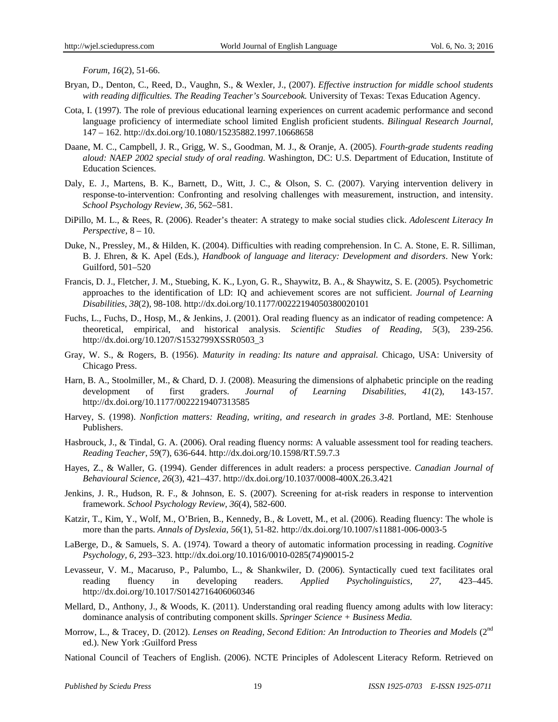*Forum*, *16*(2), 51-66.

- Bryan, D., Denton, C., Reed, D., Vaughn, S., & Wexler, J., (2007). *Effective instruction for middle school students with reading difficulties. The Reading Teacher's Sourcebook.* University of Texas: Texas Education Agency.
- Cota, I. (1997). The role of previous educational learning experiences on current academic performance and second language proficiency of intermediate school limited English proficient students. *Bilingual Research Journal*, 147 – 162. http://dx.doi.org/10.1080/15235882.1997.10668658
- Daane, M. C., Campbell, J. R., Grigg, W. S., Goodman, M. J., & Oranje, A. (2005). *Fourth-grade students reading aloud: NAEP 2002 special study of oral reading.* Washington, DC: U.S. Department of Education, Institute of Education Sciences.
- Daly, E. J., Martens, B. K., Barnett, D., Witt, J. C., & Olson, S. C. (2007). Varying intervention delivery in response-to-intervention: Confronting and resolving challenges with measurement, instruction, and intensity. *School Psychology Review*, *36*, 562–581.
- DiPillo, M. L., & Rees, R. (2006). Reader's theater: A strategy to make social studies click. *Adolescent Literacy In Perspective*, 8 – 10.
- Duke, N., Pressley, M., & Hilden, K. (2004). Difficulties with reading comprehension. In C. A. Stone, E. R. Silliman, B. J. Ehren, & K. Apel (Eds.), *Handbook of language and literacy: Development and disorders*. New York: Guilford, 501–520
- Francis, D. J., Fletcher, J. M., Stuebing, K. K., Lyon, G. R., Shaywitz, B. A., & Shaywitz, S. E. (2005). Psychometric approaches to the identification of LD: IQ and achievement scores are not sufficient. *Journal of Learning Disabilities*, *38*(2), 98-108. http://dx.doi.org/10.1177/00222194050380020101
- Fuchs, L., Fuchs, D., Hosp, M., & Jenkins, J. (2001). Oral reading fluency as an indicator of reading competence: A theoretical, empirical, and historical analysis. *Scientific Studies of Reading*, *5*(3), 239-256. http://dx.doi.org/10.1207/S1532799XSSR0503\_3
- Gray, W. S., & Rogers, B. (1956). *Maturity in reading: Its nature and appraisal.* Chicago, USA: University of Chicago Press.
- Harn, B. A., Stoolmiller, M., & Chard, D. J. (2008). Measuring the dimensions of alphabetic principle on the reading development of first graders. *Journal of Learning Disabilities*, *41*(2), 143-157. http://dx.doi.org/10.1177/0022219407313585
- Harvey, S. (1998). *Nonfiction matters: Reading, writing, and research in grades 3-8*. Portland, ME: Stenhouse Publishers.
- Hasbrouck, J., & Tindal, G. A. (2006). Oral reading fluency norms: A valuable assessment tool for reading teachers. *Reading Teacher*, *59*(7), 636-644. http://dx.doi.org/10.1598/RT.59.7.3
- Hayes, Z., & Waller, G. (1994). Gender differences in adult readers: a process perspective. *Canadian Journal of Behavioural Science, 26*(3), 421–437. http://dx.doi.org/10.1037/0008-400X.26.3.421
- Jenkins, J. R., Hudson, R. F., & Johnson, E. S. (2007). Screening for at-risk readers in response to intervention framework. *School Psychology Review*, *36*(4), 582-600.
- Katzir, T., Kim, Y., Wolf, M., O'Brien, B., Kennedy, B., & Lovett, M., et al. (2006). Reading fluency: The whole is more than the parts. *Annals of Dyslexia*, *56*(1), 51-82. http://dx.doi.org/10.1007/s11881-006-0003-5
- LaBerge, D., & Samuels, S. A. (1974). Toward a theory of automatic information processing in reading. *Cognitive Psychology, 6*, 293–323. http://dx.doi.org/10.1016/0010-0285(74)90015-2
- Levasseur, V. M., Macaruso, P., Palumbo, L., & Shankwiler, D. (2006). Syntactically cued text facilitates oral reading fluency in developing readers. *Applied Psycholinguistics, 27*, 423–445. http://dx.doi.org/10.1017/S0142716406060346
- Mellard, D., Anthony, J., & Woods, K. (2011). Understanding oral reading fluency among adults with low literacy: dominance analysis of contributing component skills. *Springer Science + Business Media.*
- Morrow, L., & Tracey, D. (2012). *Lenses on Reading, Second Edition: An Introduction to Theories and Models* (2<sup>nd</sup> ed.). New York :Guilford Press
- National Council of Teachers of English. (2006). NCTE Principles of Adolescent Literacy Reform. Retrieved on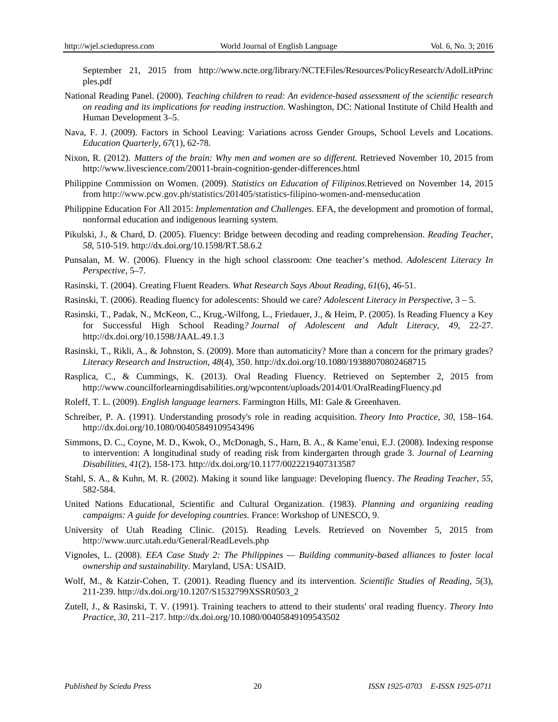September 21, 2015 from http://www.ncte.org/library/NCTEFiles/Resources/PolicyResearch/AdolLitPrinc ples.pdf

- National Reading Panel. (2000). *Teaching children to read: An evidence-based assessment of the scientific research on reading and its implications for reading instruction*. Washington, DC: National Institute of Child Health and Human Development 3–5.
- Nava, F. J. (2009). Factors in School Leaving: Variations across Gender Groups, School Levels and Locations. *Education Quarterly, 67*(1), 62-78.
- Nixon, R. (2012). *Matters of the brain: Why men and women are so different.* Retrieved November 10, 2015 from http://www.livescience.com/20011-brain-cognition-gender-differences.html
- Philippine Commission on Women. (2009). *Statistics on Education of Filipinos.*Retrieved on November 14, 2015 from http://www.pcw.gov.ph/statistics/201405/statistics-filipino-women-and-menseducation
- Philippine Education For All 2015: *Implementation and Challenges.* EFA, the development and promotion of formal, nonformal education and indigenous learning system.
- Pikulski, J., & Chard, D. (2005). Fluency: Bridge between decoding and reading comprehension. *Reading Teacher*, *58*, 510-519. http://dx.doi.org/10.1598/RT.58.6.2
- Punsalan, M. W. (2006). Fluency in the high school classroom: One teacher's method. *Adolescent Literacy In Perspective*, 5–7.
- Rasinski, T. (2004). Creating Fluent Readers. *What Research Says About Reading, 61*(6), 46-51.
- Rasinski, T. (2006). Reading fluency for adolescents: Should we care? *Adolescent Literacy in Perspective*, 3 5.
- Rasinski, T., Padak, N., McKeon, C., Krug,-Wilfong, L., Friedauer, J., & Heim, P. (2005). Is Reading Fluency a Key for Successful High School Reading*? Journal of Adolescent and Adult Literacy, 49*, 22-27. http://dx.doi.org/10.1598/JAAL.49.1.3
- Rasinski, T., Rikli, A., & Johnston, S. (2009). More than automaticity? More than a concern for the primary grades? *Literacy Research and Instruction, 48*(4), 350. http://dx.doi.org/10.1080/19388070802468715
- Rasplica, C., & Cummings, K. (2013). Oral Reading Fluency. Retrieved on September 2, 2015 from http://www.councilforlearningdisabilities.org/wpcontent/uploads/2014/01/OralReadingFluency.pd
- Roleff, T. L. (2009). *English language learners*. Farmington Hills, MI: Gale & Greenhaven.
- Schreiber, P. A. (1991). Understanding prosody's role in reading acquisition. *Theory Into Practice, 30*, 158–164. http://dx.doi.org/10.1080/00405849109543496
- Simmons, D. C., Coyne, M. D., Kwok, O., McDonagh, S., Harn, B. A., & Kame'enui, E.J. (2008). Indexing response to intervention: A longitudinal study of reading risk from kindergarten through grade 3. *Journal of Learning Disabilities*, *41*(2), 158-173. http://dx.doi.org/10.1177/0022219407313587
- Stahl, S. A., & Kuhn, M. R. (2002). Making it sound like language: Developing fluency. *The Reading Teacher*, *55*, 582-584.
- United Nations Educational, Scientific and Cultural Organization. (1983). *Planning and organizing reading campaigns: A guide for developing countries.* France: Workshop of UNESCO, 9.
- University of Utah Reading Clinic. (2015). Reading Levels. Retrieved on November 5, 2015 from http://www.uurc.utah.edu/General/ReadLevels.php
- Vignoles, L. (2008). *EEA Case Study 2: The Philippines Building community-based alliances to foster local ownership and sustainability.* Maryland, USA: USAID.
- Wolf, M., & Katzir-Cohen, T. (2001). Reading fluency and its intervention. *Scientific Studies of Reading*, *5*(3), 211-239. http://dx.doi.org/10.1207/S1532799XSSR0503\_2
- Zutell, J., & Rasinski, T. V. (1991). Training teachers to attend to their students' oral reading fluency. *Theory Into Practice, 30*, 211–217. http://dx.doi.org/10.1080/00405849109543502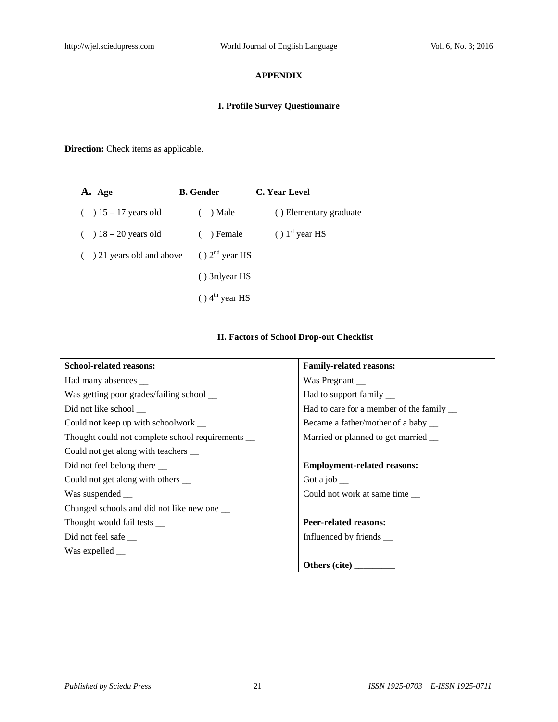# **APPENDIX**

# **I. Profile Survey Questionnaire**

**Direction:** Check items as applicable.

| A. Age                       | <b>B.</b> Gender             | C. Year Level          |  |  |
|------------------------------|------------------------------|------------------------|--|--|
| $( ) 15 - 17$ years old      | $( )$ Male                   | () Elementary graduate |  |  |
| $( ) 18 - 20$ years old      | $( )$ Female                 | $( ) 1st$ year HS      |  |  |
| $( ) 21$ years old and above | $( ) 2nd$ year HS            |                        |  |  |
|                              | () 3rdyear HS                |                        |  |  |
|                              | $()$ 4 <sup>th</sup> year HS |                        |  |  |

# **II. Factors of School Drop-out Checklist**

| <b>School-related reasons:</b>                   | <b>Family-related reasons:</b>            |  |  |
|--------------------------------------------------|-------------------------------------------|--|--|
| Had many absences __                             | Was Pregnant __                           |  |  |
| Was getting poor grades/failing school __        | Had to support family __                  |  |  |
| Did not like school __                           | Had to care for a member of the family __ |  |  |
| Could not keep up with schoolwork __             | Became a father/mother of a baby __       |  |  |
| Thought could not complete school requirements _ | Married or planned to get married __      |  |  |
| Could not get along with teachers __             |                                           |  |  |
| Did not feel belong there ___                    | <b>Employment-related reasons:</b>        |  |  |
| Could not get along with others __               | Got a job $\equiv$                        |  |  |
| Was suspended __                                 | Could not work at same time               |  |  |
| Changed schools and did not like new one __      |                                           |  |  |
| Thought would fail tests __                      | <b>Peer-related reasons:</b>              |  |  |
| Did not feel safe                                | Influenced by friends __                  |  |  |
| Was expelled __                                  |                                           |  |  |
|                                                  | Others (cite)                             |  |  |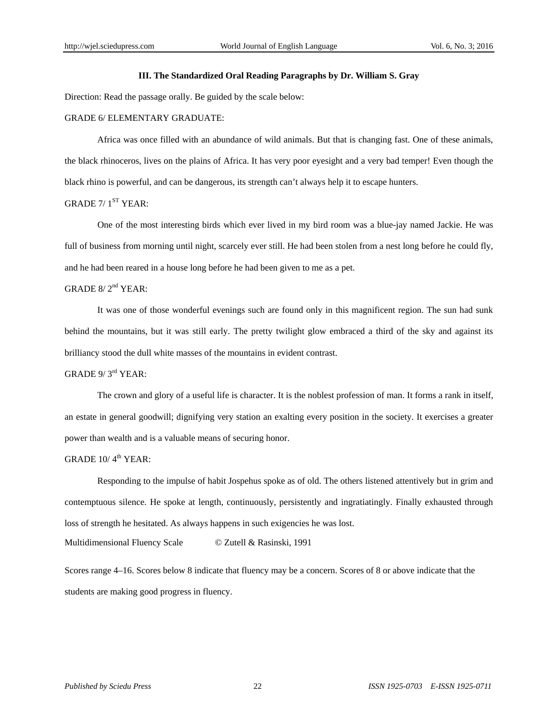#### **III. The Standardized Oral Reading Paragraphs by Dr. William S. Gray**

Direction: Read the passage orally. Be guided by the scale below:

#### GRADE 6/ ELEMENTARY GRADUATE:

Africa was once filled with an abundance of wild animals. But that is changing fast. One of these animals, the black rhinoceros, lives on the plains of Africa. It has very poor eyesight and a very bad temper! Even though the black rhino is powerful, and can be dangerous, its strength can't always help it to escape hunters.

# GRADE  $7/1$ <sup>ST</sup> YEAR:

One of the most interesting birds which ever lived in my bird room was a blue-jay named Jackie. He was full of business from morning until night, scarcely ever still. He had been stolen from a nest long before he could fly, and he had been reared in a house long before he had been given to me as a pet.

# GRADE  $8/2^{nd}$  YEAR:

It was one of those wonderful evenings such are found only in this magnificent region. The sun had sunk behind the mountains, but it was still early. The pretty twilight glow embraced a third of the sky and against its brilliancy stood the dull white masses of the mountains in evident contrast.

# GRADE 9/3<sup>rd</sup> YEAR:

The crown and glory of a useful life is character. It is the noblest profession of man. It forms a rank in itself, an estate in general goodwill; dignifying very station an exalting every position in the society. It exercises a greater power than wealth and is a valuable means of securing honor.

## GRADE  $10/4^{th}$  YEAR:

Responding to the impulse of habit Jospehus spoke as of old. The others listened attentively but in grim and contemptuous silence. He spoke at length, continuously, persistently and ingratiatingly. Finally exhausted through loss of strength he hesitated. As always happens in such exigencies he was lost.

Multidimensional Fluency Scale © Zutell & Rasinski, 1991

Scores range 4–16. Scores below 8 indicate that fluency may be a concern. Scores of 8 or above indicate that the students are making good progress in fluency.